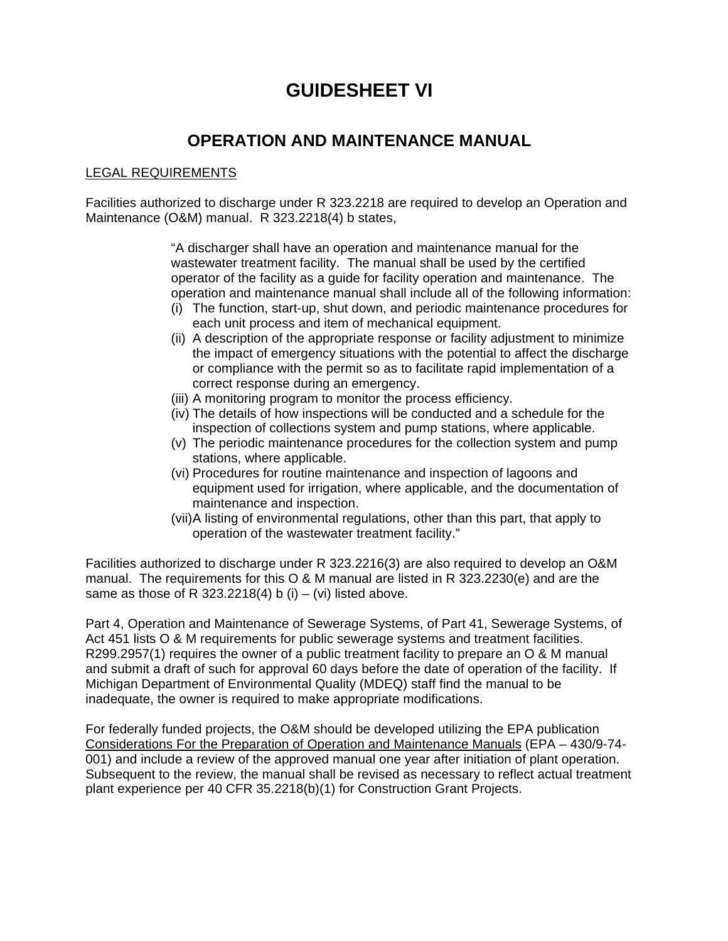## **GUIDESHEET VI**

## **OPERATION AND MAINTENANCE MANUAL**

## LEGAL REQUIREMENTS

Facilities authorized to discharge under R 323.2218 are required to develop an Operation and Maintenance (O&M) manual. R 323.2218(4) b states,

> "A discharger shall have an operation and maintenance manual for the wastewater treatment facility. The manual shall be used by the certified operator of the facility as a guide for facility operation and maintenance. The operation and maintenance manual shall include all of the following information:

- (i) The function, start-up, shut down, and periodic maintenance procedures for each unit process and item of mechanical equipment.
- (ii) A description of the appropriate response or facility adjustment to minimize the impact of emergency situations with the potential to affect the discharge or compliance with the permit so as to facilitate rapid implementation of a correct response during an emergency.
- (iii) A monitoring program to monitor the process efficiency.
- (iv) The details of how inspections will be conducted and a schedule for the inspection of collections system and pump stations, where applicable.
- (v) The periodic maintenance procedures for the collection system and pump stations, where applicable.
- (vi) Procedures for routine maintenance and inspection of lagoons and equipment used for irrigation, where applicable, and the documentation of maintenance and inspection.
- (vii) A listing of environmental regulations, other than this part, that apply to operation of the wastewater treatment facility."

Facilities authorized to discharge under R 323.2216(3) are also required to develop an O&M manual. The requirements for this O & M manual are listed in R 323.2230(e) and are the same as those of R 323.2218(4) b (i) – (vi) listed above.

Part 4, Operation and Maintenance of Sewerage Systems, of Part 41, Sewerage Systems, of Act 451 lists O & M requirements for public sewerage systems and treatment facilities. R299.2957(1) requires the owner of a public treatment facility to prepare an O & M manual and submit a draft of such for approval 60 days before the date of operation of the facility. If Michigan Department of Environmental Quality (MDEQ) staff find the manual to be inadequate, the owner is required to make appropriate modifications.

For federally funded projects, the O&M should be developed utilizing the EPA publication Considerations For the Preparation of Operation and Maintenance Manuals (EPA – 430/9-74- 001) and include a review of the approved manual one year after initiation of plant operation. Subsequent to the review, the manual shall be revised as necessary to reflect actual treatment plant experience per 40 CFR 35.2218(b)(1) for Construction Grant Projects.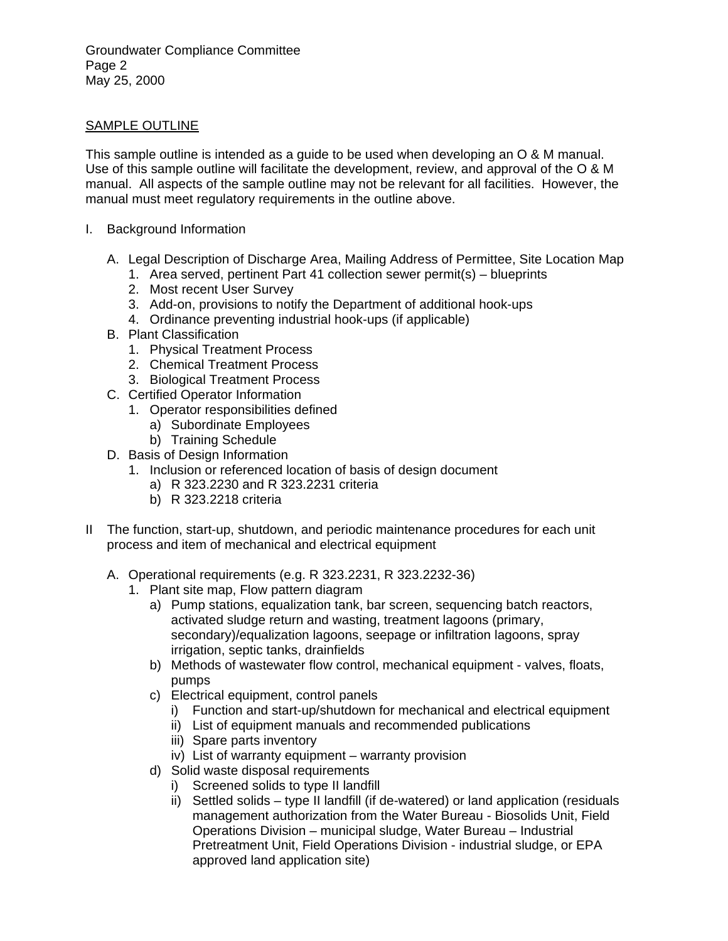Groundwater Compliance Committee Page 2 May 25, 2000

## SAMPLE OUTLINE

This sample outline is intended as a guide to be used when developing an O & M manual. Use of this sample outline will facilitate the development, review, and approval of the O & M manual. All aspects of the sample outline may not be relevant for all facilities. However, the manual must meet regulatory requirements in the outline above.

- I. Background Information
	- A. Legal Description of Discharge Area, Mailing Address of Permittee, Site Location Map
		- 1. Area served, pertinent Part 41 collection sewer permit(s) blueprints
		- 2. Most recent User Survey
		- 3. Add-on, provisions to notify the Department of additional hook-ups
		- 4. Ordinance preventing industrial hook-ups (if applicable)
	- B. Plant Classification
		- 1. Physical Treatment Process
		- 2. Chemical Treatment Process
		- 3. Biological Treatment Process
	- C. Certified Operator Information
		- 1. Operator responsibilities defined
			- a) Subordinate Employees
			- b) Training Schedule
	- D. Basis of Design Information
		- 1. Inclusion or referenced location of basis of design document
			- a) R 323.2230 and R 323.2231 criteria
			- b) R 323.2218 criteria
- II The function, start-up, shutdown, and periodic maintenance procedures for each unit process and item of mechanical and electrical equipment
	- A. Operational requirements (e.g. R 323.2231, R 323.2232-36)
		- 1. Plant site map, Flow pattern diagram
			- a) Pump stations, equalization tank, bar screen, sequencing batch reactors, activated sludge return and wasting, treatment lagoons (primary, secondary)/equalization lagoons, seepage or infiltration lagoons, spray irrigation, septic tanks, drainfields
			- b) Methods of wastewater flow control, mechanical equipment valves, floats, pumps
			- c) Electrical equipment, control panels
				- i) Function and start-up/shutdown for mechanical and electrical equipment
				- ii) List of equipment manuals and recommended publications
				- iii) Spare parts inventory
				- iv) List of warranty equipment warranty provision
			- d) Solid waste disposal requirements
				- i) Screened solids to type II landfill
				- ii) Settled solids type II landfill (if de-watered) or land application (residuals management authorization from the Water Bureau - Biosolids Unit, Field Operations Division – municipal sludge, Water Bureau – Industrial Pretreatment Unit, Field Operations Division - industrial sludge, or EPA approved land application site)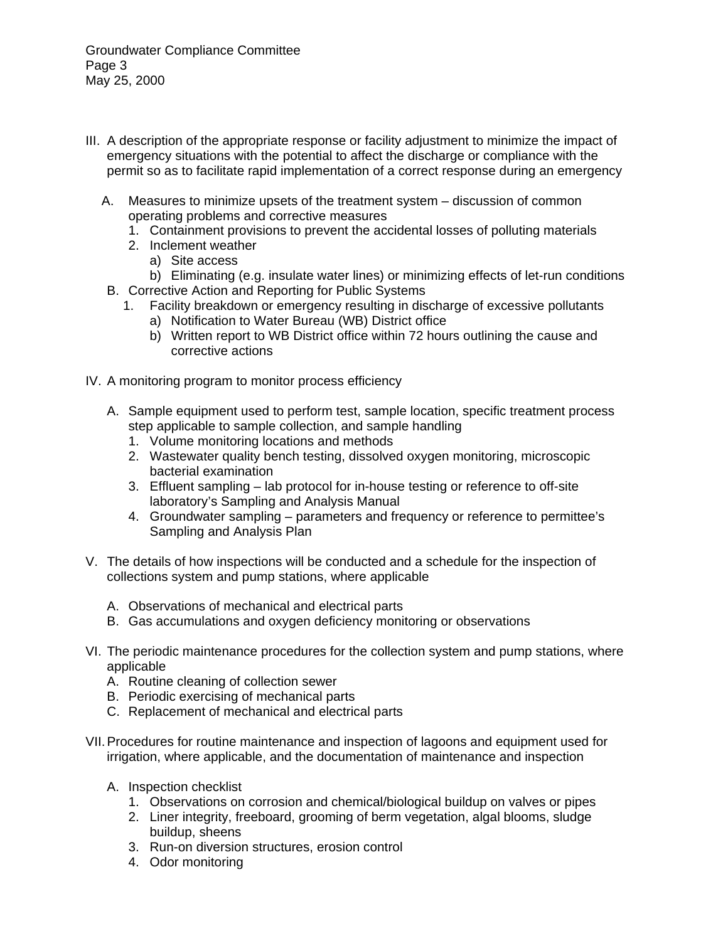Groundwater Compliance Committee Page 3 May 25, 2000

- III. A description of the appropriate response or facility adjustment to minimize the impact of emergency situations with the potential to affect the discharge or compliance with the permit so as to facilitate rapid implementation of a correct response during an emergency
	- A. Measures to minimize upsets of the treatment system discussion of common operating problems and corrective measures
		- 1. Containment provisions to prevent the accidental losses of polluting materials
		- 2. Inclement weather
			- a) Site access
	- b) Eliminating (e.g. insulate water lines) or minimizing effects of let-run conditions B. Corrective Action and Reporting for Public Systems
		- 1. Facility breakdown or emergency resulting in discharge of excessive pollutants
			- a) Notification to Water Bureau (WB) District office
			- b) Written report to WB District office within 72 hours outlining the cause and corrective actions
- IV. A monitoring program to monitor process efficiency
	- A. Sample equipment used to perform test, sample location, specific treatment process step applicable to sample collection, and sample handling
		- 1. Volume monitoring locations and methods
		- 2. Wastewater quality bench testing, dissolved oxygen monitoring, microscopic bacterial examination
		- 3. Effluent sampling lab protocol for in-house testing or reference to off-site laboratory's Sampling and Analysis Manual
		- 4. Groundwater sampling parameters and frequency or reference to permittee's Sampling and Analysis Plan
- V. The details of how inspections will be conducted and a schedule for the inspection of collections system and pump stations, where applicable
	- A. Observations of mechanical and electrical parts
	- B. Gas accumulations and oxygen deficiency monitoring or observations
- VI. The periodic maintenance procedures for the collection system and pump stations, where applicable
	- A. Routine cleaning of collection sewer
	- B. Periodic exercising of mechanical parts
	- C. Replacement of mechanical and electrical parts
- VII. Procedures for routine maintenance and inspection of lagoons and equipment used for irrigation, where applicable, and the documentation of maintenance and inspection
	- A. Inspection checklist
		- 1. Observations on corrosion and chemical/biological buildup on valves or pipes
		- 2. Liner integrity, freeboard, grooming of berm vegetation, algal blooms, sludge buildup, sheens
		- 3. Run-on diversion structures, erosion control
		- 4. Odor monitoring